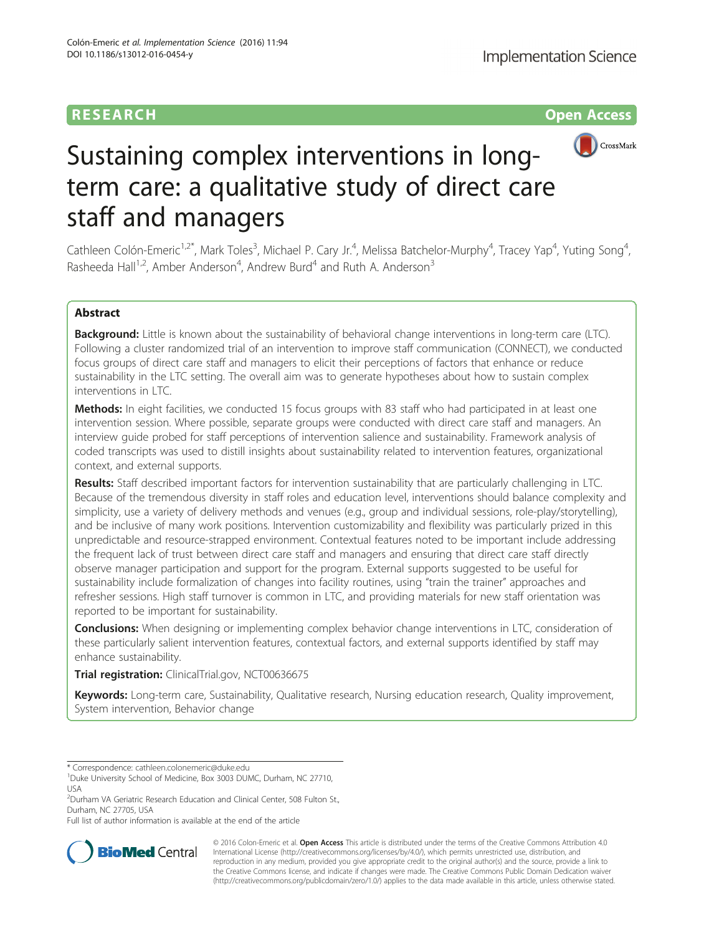# **RESEARCH RESEARCH** *CONSIDERING* **<b>CONSIDERING**



# Sustaining complex interventions in longterm care: a qualitative study of direct care staff and managers

Cathleen Colón-Emeric<sup>1,2\*</sup>, Mark Toles<sup>3</sup>, Michael P. Cary Jr.<sup>4</sup>, Melissa Batchelor-Murphy<sup>4</sup>, Tracey Yap<sup>4</sup>, Yuting Song<sup>4</sup> , Rasheeda Hall<sup>1,2</sup>, Amber Anderson<sup>4</sup>, Andrew Burd<sup>4</sup> and Ruth A. Anderson<sup>3</sup>

# Abstract

Background: Little is known about the sustainability of behavioral change interventions in long-term care (LTC). Following a cluster randomized trial of an intervention to improve staff communication (CONNECT), we conducted focus groups of direct care staff and managers to elicit their perceptions of factors that enhance or reduce sustainability in the LTC setting. The overall aim was to generate hypotheses about how to sustain complex interventions in LTC.

Methods: In eight facilities, we conducted 15 focus groups with 83 staff who had participated in at least one intervention session. Where possible, separate groups were conducted with direct care staff and managers. An interview guide probed for staff perceptions of intervention salience and sustainability. Framework analysis of coded transcripts was used to distill insights about sustainability related to intervention features, organizational context, and external supports.

Results: Staff described important factors for intervention sustainability that are particularly challenging in LTC. Because of the tremendous diversity in staff roles and education level, interventions should balance complexity and simplicity, use a variety of delivery methods and venues (e.g., group and individual sessions, role-play/storytelling), and be inclusive of many work positions. Intervention customizability and flexibility was particularly prized in this unpredictable and resource-strapped environment. Contextual features noted to be important include addressing the frequent lack of trust between direct care staff and managers and ensuring that direct care staff directly observe manager participation and support for the program. External supports suggested to be useful for sustainability include formalization of changes into facility routines, using "train the trainer" approaches and refresher sessions. High staff turnover is common in LTC, and providing materials for new staff orientation was reported to be important for sustainability.

**Conclusions:** When designing or implementing complex behavior change interventions in LTC, consideration of these particularly salient intervention features, contextual factors, and external supports identified by staff may enhance sustainability.

Trial registration: ClinicalTrial.gov, [NCT00636675](https://clinicaltrials.gov/ct2/show/NCT00636675?term=NCT00636675&rank=1)

Keywords: Long-term care, Sustainability, Qualitative research, Nursing education research, Quality improvement, System intervention, Behavior change

Full list of author information is available at the end of the article



© 2016 Colon-Emeric et al. Open Access This article is distributed under the terms of the Creative Commons Attribution 4.0 International License [\(http://creativecommons.org/licenses/by/4.0/](http://creativecommons.org/licenses/by/4.0/)), which permits unrestricted use, distribution, and reproduction in any medium, provided you give appropriate credit to the original author(s) and the source, provide a link to the Creative Commons license, and indicate if changes were made. The Creative Commons Public Domain Dedication waiver [\(http://creativecommons.org/publicdomain/zero/1.0/](http://creativecommons.org/publicdomain/zero/1.0/)) applies to the data made available in this article, unless otherwise stated.

<sup>\*</sup> Correspondence: [cathleen.colonemeric@duke.edu](mailto:cathleen.colonemeric@duke.edu) <sup>1</sup>

<sup>&</sup>lt;sup>1</sup>Duke University School of Medicine, Box 3003 DUMC, Durham, NC 27710, USA

<sup>2</sup> Durham VA Geriatric Research Education and Clinical Center, 508 Fulton St., Durham, NC 27705, USA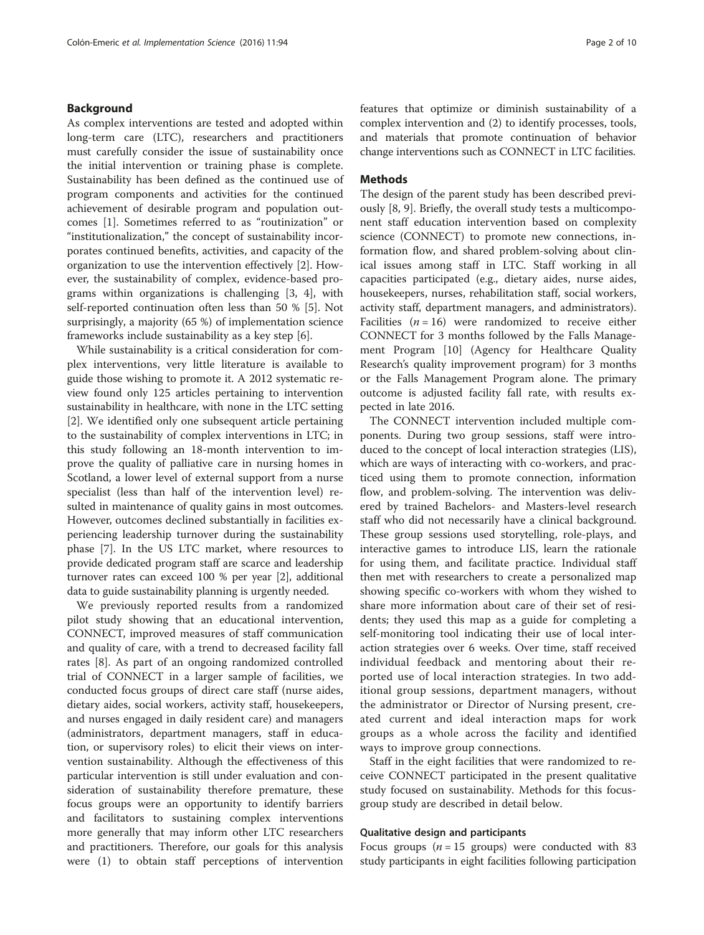## Background

As complex interventions are tested and adopted within long-term care (LTC), researchers and practitioners must carefully consider the issue of sustainability once the initial intervention or training phase is complete. Sustainability has been defined as the continued use of program components and activities for the continued achievement of desirable program and population outcomes [\[1](#page-8-0)]. Sometimes referred to as "routinization" or "institutionalization," the concept of sustainability incorporates continued benefits, activities, and capacity of the organization to use the intervention effectively [\[2](#page-8-0)]. However, the sustainability of complex, evidence-based programs within organizations is challenging [[3, 4](#page-8-0)], with self-reported continuation often less than 50 % [[5\]](#page-8-0). Not surprisingly, a majority (65 %) of implementation science frameworks include sustainability as a key step [\[6](#page-8-0)].

While sustainability is a critical consideration for complex interventions, very little literature is available to guide those wishing to promote it. A 2012 systematic review found only 125 articles pertaining to intervention sustainability in healthcare, with none in the LTC setting [[2\]](#page-8-0). We identified only one subsequent article pertaining to the sustainability of complex interventions in LTC; in this study following an 18-month intervention to improve the quality of palliative care in nursing homes in Scotland, a lower level of external support from a nurse specialist (less than half of the intervention level) resulted in maintenance of quality gains in most outcomes. However, outcomes declined substantially in facilities experiencing leadership turnover during the sustainability phase [[7\]](#page-8-0). In the US LTC market, where resources to provide dedicated program staff are scarce and leadership turnover rates can exceed 100 % per year [[2\]](#page-8-0), additional data to guide sustainability planning is urgently needed.

We previously reported results from a randomized pilot study showing that an educational intervention, CONNECT, improved measures of staff communication and quality of care, with a trend to decreased facility fall rates [\[8](#page-8-0)]. As part of an ongoing randomized controlled trial of CONNECT in a larger sample of facilities, we conducted focus groups of direct care staff (nurse aides, dietary aides, social workers, activity staff, housekeepers, and nurses engaged in daily resident care) and managers (administrators, department managers, staff in education, or supervisory roles) to elicit their views on intervention sustainability. Although the effectiveness of this particular intervention is still under evaluation and consideration of sustainability therefore premature, these focus groups were an opportunity to identify barriers and facilitators to sustaining complex interventions more generally that may inform other LTC researchers and practitioners. Therefore, our goals for this analysis were (1) to obtain staff perceptions of intervention features that optimize or diminish sustainability of a complex intervention and (2) to identify processes, tools, and materials that promote continuation of behavior change interventions such as CONNECT in LTC facilities.

## Methods

The design of the parent study has been described previously [[8, 9\]](#page-8-0). Briefly, the overall study tests a multicomponent staff education intervention based on complexity science (CONNECT) to promote new connections, information flow, and shared problem-solving about clinical issues among staff in LTC. Staff working in all capacities participated (e.g., dietary aides, nurse aides, housekeepers, nurses, rehabilitation staff, social workers, activity staff, department managers, and administrators). Facilities ( $n = 16$ ) were randomized to receive either CONNECT for 3 months followed by the Falls Management Program [\[10](#page-8-0)] (Agency for Healthcare Quality Research's quality improvement program) for 3 months or the Falls Management Program alone. The primary outcome is adjusted facility fall rate, with results expected in late 2016.

The CONNECT intervention included multiple components. During two group sessions, staff were introduced to the concept of local interaction strategies (LIS), which are ways of interacting with co-workers, and practiced using them to promote connection, information flow, and problem-solving. The intervention was delivered by trained Bachelors- and Masters-level research staff who did not necessarily have a clinical background. These group sessions used storytelling, role-plays, and interactive games to introduce LIS, learn the rationale for using them, and facilitate practice. Individual staff then met with researchers to create a personalized map showing specific co-workers with whom they wished to share more information about care of their set of residents; they used this map as a guide for completing a self-monitoring tool indicating their use of local interaction strategies over 6 weeks. Over time, staff received individual feedback and mentoring about their reported use of local interaction strategies. In two additional group sessions, department managers, without the administrator or Director of Nursing present, created current and ideal interaction maps for work groups as a whole across the facility and identified ways to improve group connections.

Staff in the eight facilities that were randomized to receive CONNECT participated in the present qualitative study focused on sustainability. Methods for this focusgroup study are described in detail below.

### Qualitative design and participants

Focus groups ( $n = 15$  groups) were conducted with 83 study participants in eight facilities following participation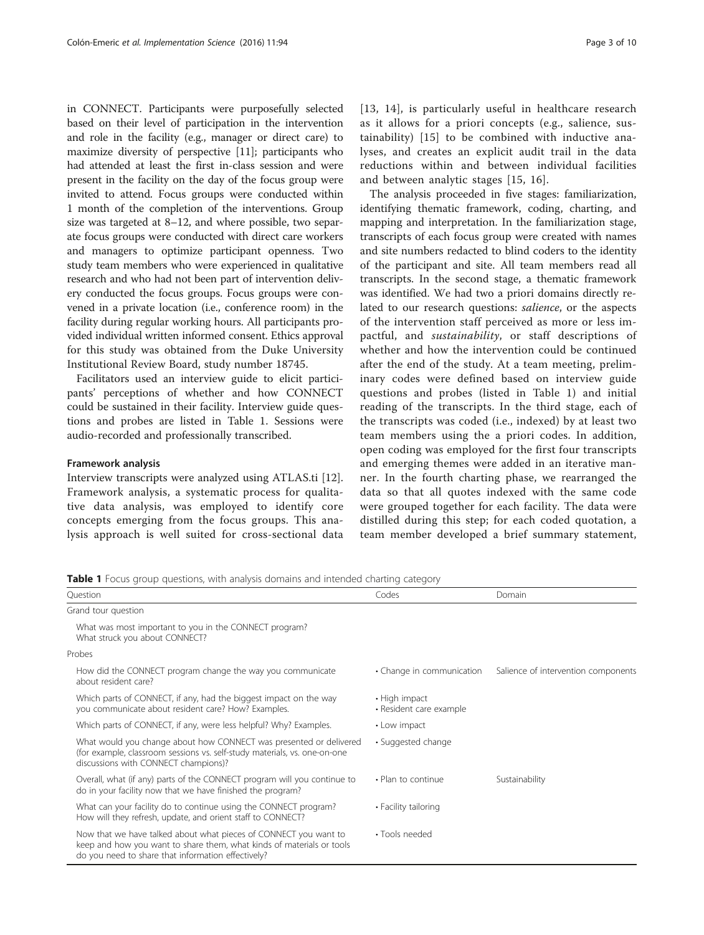in CONNECT. Participants were purposefully selected based on their level of participation in the intervention and role in the facility (e.g., manager or direct care) to maximize diversity of perspective [[11](#page-8-0)]; participants who had attended at least the first in-class session and were present in the facility on the day of the focus group were invited to attend. Focus groups were conducted within 1 month of the completion of the interventions. Group size was targeted at 8–12, and where possible, two separate focus groups were conducted with direct care workers and managers to optimize participant openness. Two study team members who were experienced in qualitative research and who had not been part of intervention delivery conducted the focus groups. Focus groups were convened in a private location (i.e., conference room) in the facility during regular working hours. All participants provided individual written informed consent. Ethics approval for this study was obtained from the Duke University Institutional Review Board, study number 18745.

Facilitators used an interview guide to elicit participants' perceptions of whether and how CONNECT could be sustained in their facility. Interview guide questions and probes are listed in Table 1. Sessions were audio-recorded and professionally transcribed.

#### Framework analysis

Interview transcripts were analyzed using ATLAS.ti [\[12](#page-8-0)]. Framework analysis, a systematic process for qualitative data analysis, was employed to identify core concepts emerging from the focus groups. This analysis approach is well suited for cross-sectional data [[13](#page-8-0), [14\]](#page-9-0), is particularly useful in healthcare research as it allows for a priori concepts (e.g., salience, sustainability) [[15\]](#page-9-0) to be combined with inductive analyses, and creates an explicit audit trail in the data reductions within and between individual facilities and between analytic stages [\[15, 16\]](#page-9-0).

The analysis proceeded in five stages: familiarization, identifying thematic framework, coding, charting, and mapping and interpretation. In the familiarization stage, transcripts of each focus group were created with names and site numbers redacted to blind coders to the identity of the participant and site. All team members read all transcripts. In the second stage, a thematic framework was identified. We had two a priori domains directly related to our research questions: salience, or the aspects of the intervention staff perceived as more or less impactful, and sustainability, or staff descriptions of whether and how the intervention could be continued after the end of the study. At a team meeting, preliminary codes were defined based on interview guide questions and probes (listed in Table 1) and initial reading of the transcripts. In the third stage, each of the transcripts was coded (i.e., indexed) by at least two team members using the a priori codes. In addition, open coding was employed for the first four transcripts and emerging themes were added in an iterative manner. In the fourth charting phase, we rearranged the data so that all quotes indexed with the same code were grouped together for each facility. The data were distilled during this step; for each coded quotation, a team member developed a brief summary statement,

Table 1 Focus group questions, with analysis domains and intended charting category

| Question                                                                                                                                                                                        | Codes                                    | Domain                              |
|-------------------------------------------------------------------------------------------------------------------------------------------------------------------------------------------------|------------------------------------------|-------------------------------------|
| Grand tour question                                                                                                                                                                             |                                          |                                     |
| What was most important to you in the CONNECT program?<br>What struck you about CONNECT?                                                                                                        |                                          |                                     |
| Probes                                                                                                                                                                                          |                                          |                                     |
| How did the CONNECT program change the way you communicate<br>about resident care?                                                                                                              | • Change in communication                | Salience of intervention components |
| Which parts of CONNECT, if any, had the biggest impact on the way<br>you communicate about resident care? How? Examples.                                                                        | • High impact<br>· Resident care example |                                     |
| Which parts of CONNECT, if any, were less helpful? Why? Examples.                                                                                                                               | • Low impact                             |                                     |
| What would you change about how CONNECT was presented or delivered<br>(for example, classroom sessions vs. self-study materials, vs. one-on-one<br>discussions with CONNECT champions)?         | • Suggested change                       |                                     |
| Overall, what (if any) parts of the CONNECT program will you continue to<br>do in your facility now that we have finished the program?                                                          | • Plan to continue                       | Sustainability                      |
| What can your facility do to continue using the CONNECT program?<br>How will they refresh, update, and orient staff to CONNECT?                                                                 | • Facility tailoring                     |                                     |
| Now that we have talked about what pieces of CONNECT you want to<br>keep and how you want to share them, what kinds of materials or tools<br>do you need to share that information effectively? | • Tools needed                           |                                     |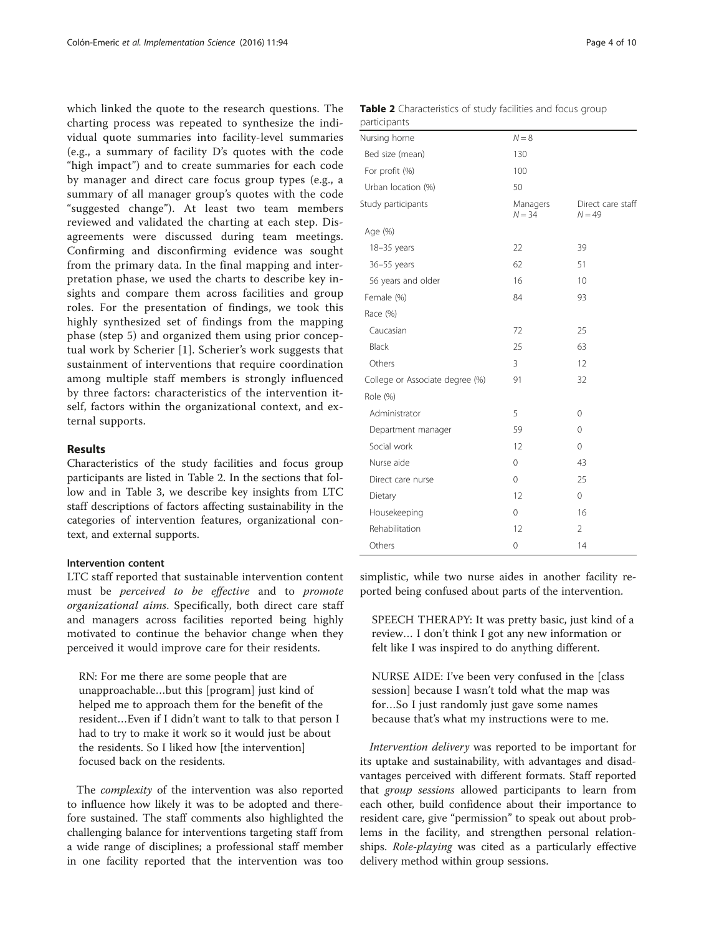which linked the quote to the research questions. The charting process was repeated to synthesize the individual quote summaries into facility-level summaries (e.g., a summary of facility D's quotes with the code "high impact") and to create summaries for each code by manager and direct care focus group types (e.g., a summary of all manager group's quotes with the code "suggested change"). At least two team members reviewed and validated the charting at each step. Disagreements were discussed during team meetings. Confirming and disconfirming evidence was sought from the primary data. In the final mapping and interpretation phase, we used the charts to describe key insights and compare them across facilities and group roles. For the presentation of findings, we took this highly synthesized set of findings from the mapping phase (step 5) and organized them using prior conceptual work by Scherier [[1](#page-8-0)]. Scherier's work suggests that sustainment of interventions that require coordination among multiple staff members is strongly influenced by three factors: characteristics of the intervention itself, factors within the organizational context, and external supports.

# Results

Characteristics of the study facilities and focus group participants are listed in Table 2. In the sections that follow and in Table [3](#page-4-0), we describe key insights from LTC staff descriptions of factors affecting sustainability in the categories of intervention features, organizational context, and external supports.

# Intervention content

LTC staff reported that sustainable intervention content must be perceived to be effective and to promote organizational aims. Specifically, both direct care staff and managers across facilities reported being highly motivated to continue the behavior change when they perceived it would improve care for their residents.

RN: For me there are some people that are unapproachable…but this [program] just kind of helped me to approach them for the benefit of the resident…Even if I didn't want to talk to that person I had to try to make it work so it would just be about the residents. So I liked how [the intervention] focused back on the residents.

The *complexity* of the intervention was also reported to influence how likely it was to be adopted and therefore sustained. The staff comments also highlighted the challenging balance for interventions targeting staff from a wide range of disciplines; a professional staff member in one facility reported that the intervention was too

| <b>Table 2</b> Characteristics of study facilities and focus group<br>participants |                      |                               |
|------------------------------------------------------------------------------------|----------------------|-------------------------------|
| Nursing home                                                                       | $N = 8$              |                               |
| Bed size (mean)                                                                    | 130                  |                               |
| For profit (%)                                                                     | 100                  |                               |
| Urban location (%)                                                                 | 50                   |                               |
| Study participants                                                                 | Managers<br>$N = 34$ | Direct care staff<br>$N = 49$ |
| Age (%)                                                                            |                      |                               |
| $18 - 35$ years                                                                    | 22                   | 39                            |
| 36-55 years                                                                        | 62                   | 51                            |
| 56 years and older                                                                 | 16                   | 10                            |
| Female (%)                                                                         | 84                   | 93                            |
| Race (%)                                                                           |                      |                               |
| Caucasian                                                                          | 72                   | 25                            |
| Black                                                                              | 25                   | 63                            |
| Others                                                                             | 3                    | 12                            |
| College or Associate degree (%)                                                    | 91                   | 32                            |
| Role (%)                                                                           |                      |                               |
| Administrator                                                                      | 5                    | 0                             |
| Department manager                                                                 | 59                   | $\mathbf 0$                   |
| Social work                                                                        | 12                   | 0                             |
| Nurse aide                                                                         | $\overline{0}$       | 43                            |
| Direct care nurse                                                                  | 0                    | 25                            |
| Dietary                                                                            | 12                   | 0                             |
| Housekeeping                                                                       | 0                    | 16                            |
| Rehabilitation                                                                     | 12                   | $\overline{2}$                |
| Others                                                                             | 0                    | 14                            |

simplistic, while two nurse aides in another facility reported being confused about parts of the intervention.

SPEECH THERAPY: It was pretty basic, just kind of a review… I don't think I got any new information or felt like I was inspired to do anything different.

NURSE AIDE: I've been very confused in the [class session] because I wasn't told what the map was for…So I just randomly just gave some names because that's what my instructions were to me.

Intervention delivery was reported to be important for its uptake and sustainability, with advantages and disadvantages perceived with different formats. Staff reported that group sessions allowed participants to learn from each other, build confidence about their importance to resident care, give "permission" to speak out about problems in the facility, and strengthen personal relationships. Role-playing was cited as a particularly effective delivery method within group sessions.

| <b>Table 2</b> Characteristics of study facilities and focus group |  |  |  |
|--------------------------------------------------------------------|--|--|--|
| participants                                                       |  |  |  |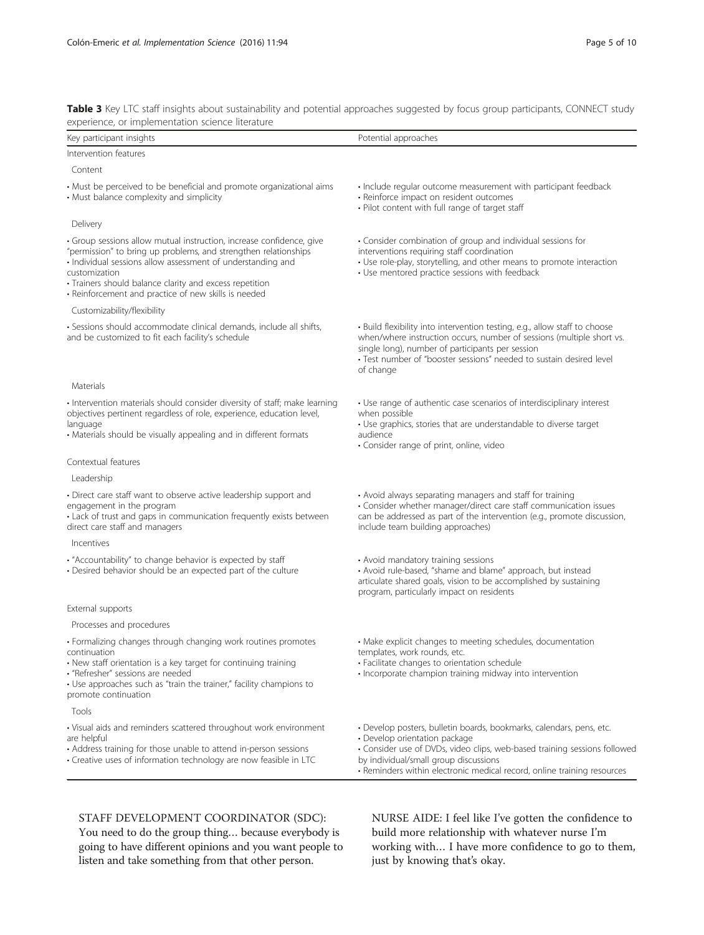<span id="page-4-0"></span>Table 3 Key LTC staff insights about sustainability and potential approaches suggested by focus group participants, CONNECT study experience, or implementation science literature

| Key participant insights                                                                                                                                                                                                                                                                                                                   | Potential approaches                                                                                                                                                                                                                                                                                   |  |  |  |
|--------------------------------------------------------------------------------------------------------------------------------------------------------------------------------------------------------------------------------------------------------------------------------------------------------------------------------------------|--------------------------------------------------------------------------------------------------------------------------------------------------------------------------------------------------------------------------------------------------------------------------------------------------------|--|--|--|
| Intervention features                                                                                                                                                                                                                                                                                                                      |                                                                                                                                                                                                                                                                                                        |  |  |  |
| Content                                                                                                                                                                                                                                                                                                                                    |                                                                                                                                                                                                                                                                                                        |  |  |  |
| • Must be perceived to be beneficial and promote organizational aims<br>• Must balance complexity and simplicity                                                                                                                                                                                                                           | · Include regular outcome measurement with participant feedback<br>• Reinforce impact on resident outcomes<br>· Pilot content with full range of target staff                                                                                                                                          |  |  |  |
| Delivery                                                                                                                                                                                                                                                                                                                                   |                                                                                                                                                                                                                                                                                                        |  |  |  |
| · Group sessions allow mutual instruction, increase confidence, give<br>"permission" to bring up problems, and strengthen relationships<br>· Individual sessions allow assessment of understanding and<br>customization<br>· Trainers should balance clarity and excess repetition<br>· Reinforcement and practice of new skills is needed | • Consider combination of group and individual sessions for<br>interventions requiring staff coordination<br>• Use role-play, storytelling, and other means to promote interaction<br>• Use mentored practice sessions with feedback                                                                   |  |  |  |
| Customizability/flexibility                                                                                                                                                                                                                                                                                                                |                                                                                                                                                                                                                                                                                                        |  |  |  |
| · Sessions should accommodate clinical demands, include all shifts,<br>and be customized to fit each facility's schedule                                                                                                                                                                                                                   | • Build flexibility into intervention testing, e.g., allow staff to choose<br>when/where instruction occurs, number of sessions (multiple short vs.<br>single long), number of participants per session<br>· Test number of "booster sessions" needed to sustain desired level<br>of change            |  |  |  |
| Materials                                                                                                                                                                                                                                                                                                                                  |                                                                                                                                                                                                                                                                                                        |  |  |  |
| · Intervention materials should consider diversity of staff; make learning<br>objectives pertinent regardless of role, experience, education level,<br>language<br>• Materials should be visually appealing and in different formats                                                                                                       | • Use range of authentic case scenarios of interdisciplinary interest<br>when possible<br>• Use graphics, stories that are understandable to diverse target<br>audience<br>· Consider range of print, online, video                                                                                    |  |  |  |
| Contextual features                                                                                                                                                                                                                                                                                                                        |                                                                                                                                                                                                                                                                                                        |  |  |  |
| Leadership                                                                                                                                                                                                                                                                                                                                 |                                                                                                                                                                                                                                                                                                        |  |  |  |
| · Direct care staff want to observe active leadership support and<br>engagement in the program<br>· Lack of trust and gaps in communication frequently exists between<br>direct care staff and managers                                                                                                                                    | • Avoid always separating managers and staff for training<br>• Consider whether manager/direct care staff communication issues<br>can be addressed as part of the intervention (e.g., promote discussion,<br>include team building approaches)                                                         |  |  |  |
| Incentives                                                                                                                                                                                                                                                                                                                                 |                                                                                                                                                                                                                                                                                                        |  |  |  |
| · "Accountability" to change behavior is expected by staff<br>• Desired behavior should be an expected part of the culture                                                                                                                                                                                                                 | • Avoid mandatory training sessions<br>• Avoid rule-based, "shame and blame" approach, but instead<br>articulate shared goals, vision to be accomplished by sustaining<br>program, particularly impact on residents                                                                                    |  |  |  |
| External supports                                                                                                                                                                                                                                                                                                                          |                                                                                                                                                                                                                                                                                                        |  |  |  |
| Processes and procedures                                                                                                                                                                                                                                                                                                                   |                                                                                                                                                                                                                                                                                                        |  |  |  |
| • Formalizing changes through changing work routines promotes<br>continuation<br>· New staff orientation is a key target for continuing training<br>· "Refresher" sessions are needed<br>• Use approaches such as "train the trainer," facility champions to<br>promote continuation                                                       | · Make explicit changes to meeting schedules, documentation<br>templates, work rounds, etc.<br>· Facilitate changes to orientation schedule<br>· Incorporate champion training midway into intervention                                                                                                |  |  |  |
| Tools                                                                                                                                                                                                                                                                                                                                      |                                                                                                                                                                                                                                                                                                        |  |  |  |
| · Visual aids and reminders scattered throughout work environment<br>are helpful<br>• Address training for those unable to attend in-person sessions<br>• Creative uses of information technology are now feasible in LTC                                                                                                                  | · Develop posters, bulletin boards, bookmarks, calendars, pens, etc.<br>· Develop orientation package<br>· Consider use of DVDs, video clips, web-based training sessions followed<br>by individual/small group discussions<br>· Reminders within electronic medical record, online training resources |  |  |  |

# STAFF DEVELOPMENT COORDINATOR (SDC):

You need to do the group thing… because everybody is going to have different opinions and you want people to listen and take something from that other person.

NURSE AIDE: I feel like I've gotten the confidence to build more relationship with whatever nurse I'm working with… I have more confidence to go to them, just by knowing that's okay.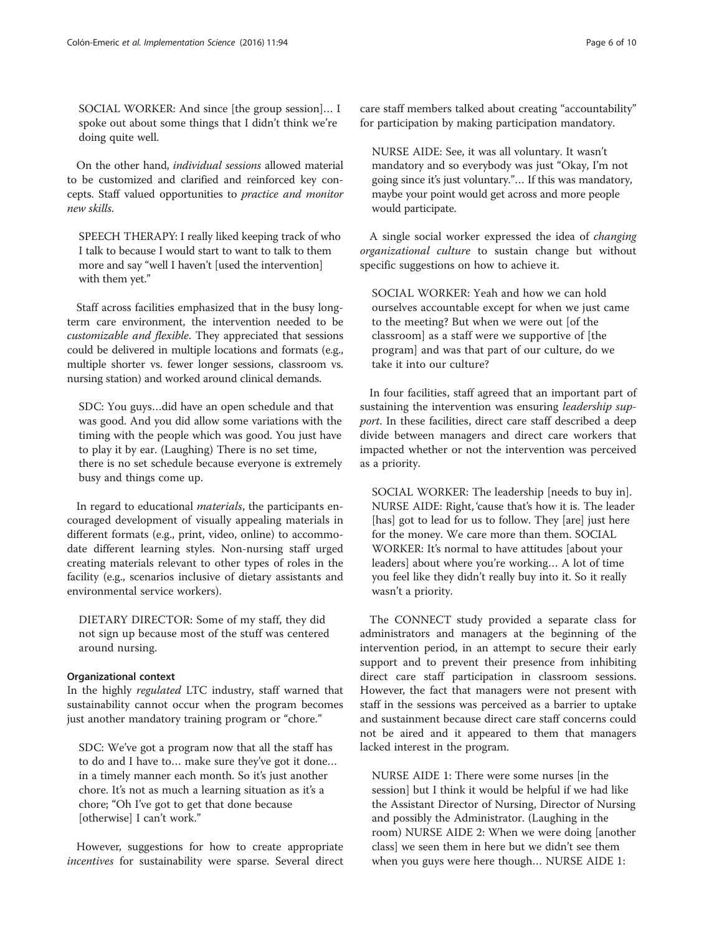SOCIAL WORKER: And since [the group session]… I spoke out about some things that I didn't think we're doing quite well.

On the other hand, individual sessions allowed material to be customized and clarified and reinforced key concepts. Staff valued opportunities to practice and monitor new skills.

SPEECH THERAPY: I really liked keeping track of who I talk to because I would start to want to talk to them more and say "well I haven't [used the intervention] with them yet."

Staff across facilities emphasized that in the busy longterm care environment, the intervention needed to be customizable and flexible. They appreciated that sessions could be delivered in multiple locations and formats (e.g., multiple shorter vs. fewer longer sessions, classroom vs. nursing station) and worked around clinical demands.

SDC: You guys…did have an open schedule and that was good. And you did allow some variations with the timing with the people which was good. You just have to play it by ear. (Laughing) There is no set time, there is no set schedule because everyone is extremely busy and things come up.

In regard to educational materials, the participants encouraged development of visually appealing materials in different formats (e.g., print, video, online) to accommodate different learning styles. Non-nursing staff urged creating materials relevant to other types of roles in the facility (e.g., scenarios inclusive of dietary assistants and environmental service workers).

DIETARY DIRECTOR: Some of my staff, they did not sign up because most of the stuff was centered around nursing.

## Organizational context

In the highly regulated LTC industry, staff warned that sustainability cannot occur when the program becomes just another mandatory training program or "chore."

SDC: We've got a program now that all the staff has to do and I have to… make sure they've got it done… in a timely manner each month. So it's just another chore. It's not as much a learning situation as it's a chore; "Oh I've got to get that done because [otherwise] I can't work."

However, suggestions for how to create appropriate incentives for sustainability were sparse. Several direct care staff members talked about creating "accountability" for participation by making participation mandatory.

NURSE AIDE: See, it was all voluntary. It wasn't mandatory and so everybody was just "Okay, I'm not going since it's just voluntary."… If this was mandatory, maybe your point would get across and more people would participate.

A single social worker expressed the idea of changing organizational culture to sustain change but without specific suggestions on how to achieve it.

SOCIAL WORKER: Yeah and how we can hold ourselves accountable except for when we just came to the meeting? But when we were out [of the classroom] as a staff were we supportive of [the program] and was that part of our culture, do we take it into our culture?

In four facilities, staff agreed that an important part of sustaining the intervention was ensuring leadership support. In these facilities, direct care staff described a deep divide between managers and direct care workers that impacted whether or not the intervention was perceived as a priority.

SOCIAL WORKER: The leadership [needs to buy in]. NURSE AIDE: Right, 'cause that's how it is. The leader [has] got to lead for us to follow. They [are] just here for the money. We care more than them. SOCIAL WORKER: It's normal to have attitudes [about your leaders] about where you're working… A lot of time you feel like they didn't really buy into it. So it really wasn't a priority.

The CONNECT study provided a separate class for administrators and managers at the beginning of the intervention period, in an attempt to secure their early support and to prevent their presence from inhibiting direct care staff participation in classroom sessions. However, the fact that managers were not present with staff in the sessions was perceived as a barrier to uptake and sustainment because direct care staff concerns could not be aired and it appeared to them that managers lacked interest in the program.

NURSE AIDE 1: There were some nurses [in the session] but I think it would be helpful if we had like the Assistant Director of Nursing, Director of Nursing and possibly the Administrator. (Laughing in the room) NURSE AIDE 2: When we were doing [another class] we seen them in here but we didn't see them when you guys were here though… NURSE AIDE 1: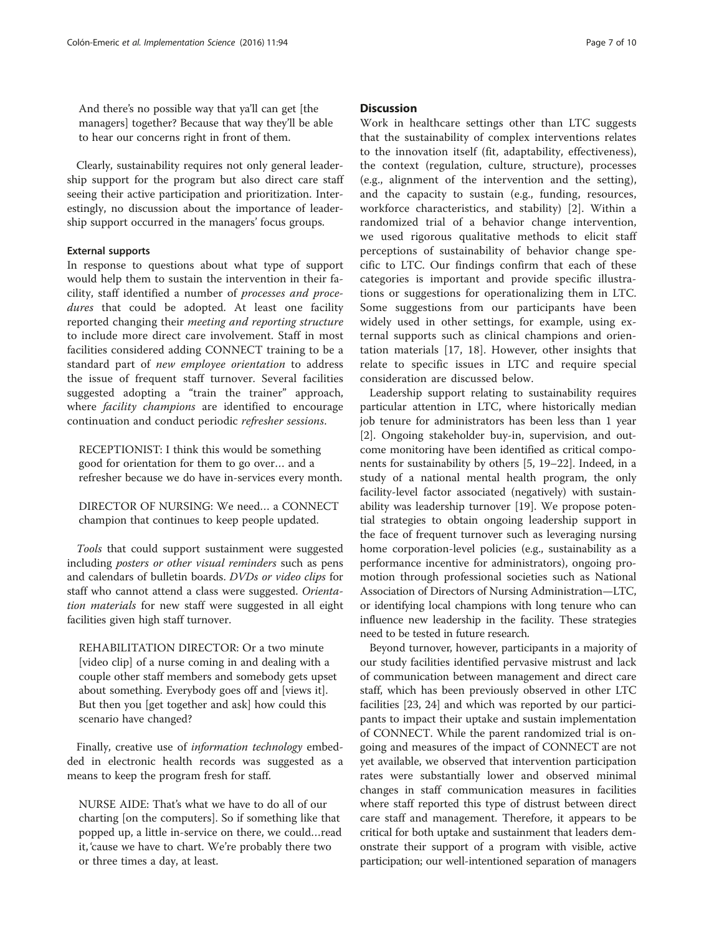And there's no possible way that ya'll can get [the managers] together? Because that way they'll be able to hear our concerns right in front of them.

Clearly, sustainability requires not only general leadership support for the program but also direct care staff seeing their active participation and prioritization. Interestingly, no discussion about the importance of leadership support occurred in the managers' focus groups.

## External supports

In response to questions about what type of support would help them to sustain the intervention in their facility, staff identified a number of processes and procedures that could be adopted. At least one facility reported changing their meeting and reporting structure to include more direct care involvement. Staff in most facilities considered adding CONNECT training to be a standard part of new employee orientation to address the issue of frequent staff turnover. Several facilities suggested adopting a "train the trainer" approach, where *facility champions* are identified to encourage continuation and conduct periodic refresher sessions.

RECEPTIONIST: I think this would be something good for orientation for them to go over… and a refresher because we do have in-services every month.

DIRECTOR OF NURSING: We need… a CONNECT champion that continues to keep people updated.

Tools that could support sustainment were suggested including posters or other visual reminders such as pens and calendars of bulletin boards. DVDs or video clips for staff who cannot attend a class were suggested. Orientation materials for new staff were suggested in all eight facilities given high staff turnover.

REHABILITATION DIRECTOR: Or a two minute [video clip] of a nurse coming in and dealing with a couple other staff members and somebody gets upset about something. Everybody goes off and [views it]. But then you [get together and ask] how could this scenario have changed?

Finally, creative use of information technology embedded in electronic health records was suggested as a means to keep the program fresh for staff.

NURSE AIDE: That's what we have to do all of our charting [on the computers]. So if something like that popped up, a little in-service on there, we could…read it, 'cause we have to chart. We're probably there two or three times a day, at least.

## **Discussion**

Work in healthcare settings other than LTC suggests that the sustainability of complex interventions relates to the innovation itself (fit, adaptability, effectiveness), the context (regulation, culture, structure), processes (e.g., alignment of the intervention and the setting), and the capacity to sustain (e.g., funding, resources, workforce characteristics, and stability) [[2\]](#page-8-0). Within a randomized trial of a behavior change intervention, we used rigorous qualitative methods to elicit staff perceptions of sustainability of behavior change specific to LTC. Our findings confirm that each of these categories is important and provide specific illustrations or suggestions for operationalizing them in LTC. Some suggestions from our participants have been widely used in other settings, for example, using external supports such as clinical champions and orientation materials [\[17](#page-9-0), [18\]](#page-9-0). However, other insights that relate to specific issues in LTC and require special consideration are discussed below.

Leadership support relating to sustainability requires particular attention in LTC, where historically median job tenure for administrators has been less than 1 year [[2\]](#page-8-0). Ongoing stakeholder buy-in, supervision, and outcome monitoring have been identified as critical components for sustainability by others [[5,](#page-8-0) [19](#page-9-0)–[22](#page-9-0)]. Indeed, in a study of a national mental health program, the only facility-level factor associated (negatively) with sustainability was leadership turnover [[19\]](#page-9-0). We propose potential strategies to obtain ongoing leadership support in the face of frequent turnover such as leveraging nursing home corporation-level policies (e.g., sustainability as a performance incentive for administrators), ongoing promotion through professional societies such as National Association of Directors of Nursing Administration—LTC, or identifying local champions with long tenure who can influence new leadership in the facility. These strategies need to be tested in future research.

Beyond turnover, however, participants in a majority of our study facilities identified pervasive mistrust and lack of communication between management and direct care staff, which has been previously observed in other LTC facilities [\[23](#page-9-0), [24\]](#page-9-0) and which was reported by our participants to impact their uptake and sustain implementation of CONNECT. While the parent randomized trial is ongoing and measures of the impact of CONNECT are not yet available, we observed that intervention participation rates were substantially lower and observed minimal changes in staff communication measures in facilities where staff reported this type of distrust between direct care staff and management. Therefore, it appears to be critical for both uptake and sustainment that leaders demonstrate their support of a program with visible, active participation; our well-intentioned separation of managers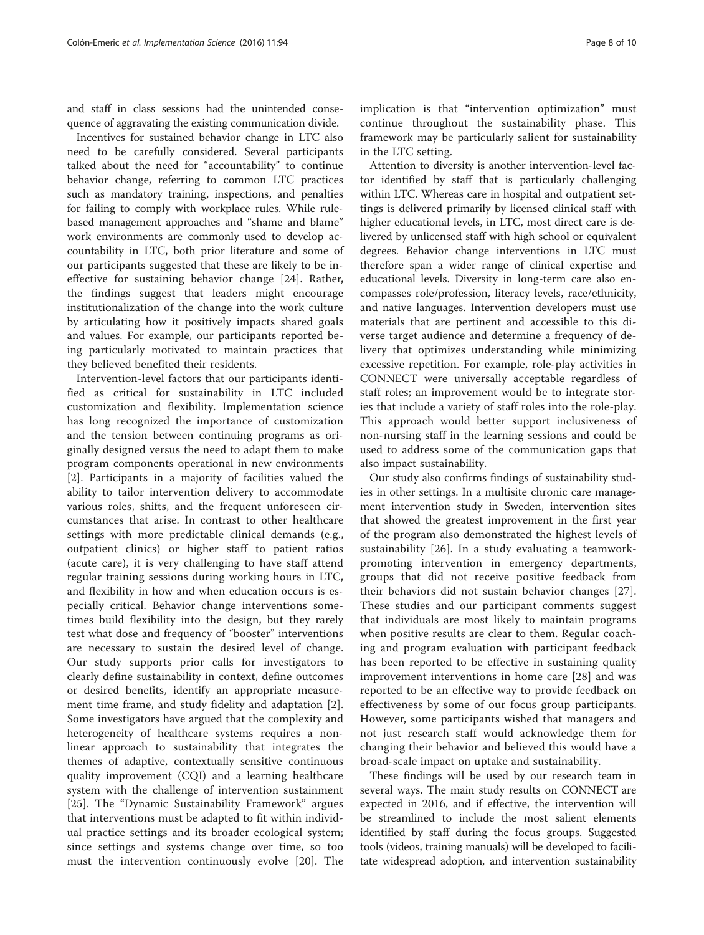and staff in class sessions had the unintended consequence of aggravating the existing communication divide.

Incentives for sustained behavior change in LTC also need to be carefully considered. Several participants talked about the need for "accountability" to continue behavior change, referring to common LTC practices such as mandatory training, inspections, and penalties for failing to comply with workplace rules. While rulebased management approaches and "shame and blame" work environments are commonly used to develop accountability in LTC, both prior literature and some of our participants suggested that these are likely to be ineffective for sustaining behavior change [[24\]](#page-9-0). Rather, the findings suggest that leaders might encourage institutionalization of the change into the work culture by articulating how it positively impacts shared goals and values. For example, our participants reported being particularly motivated to maintain practices that they believed benefited their residents.

Intervention-level factors that our participants identified as critical for sustainability in LTC included customization and flexibility. Implementation science has long recognized the importance of customization and the tension between continuing programs as originally designed versus the need to adapt them to make program components operational in new environments [[2\]](#page-8-0). Participants in a majority of facilities valued the ability to tailor intervention delivery to accommodate various roles, shifts, and the frequent unforeseen circumstances that arise. In contrast to other healthcare settings with more predictable clinical demands (e.g., outpatient clinics) or higher staff to patient ratios (acute care), it is very challenging to have staff attend regular training sessions during working hours in LTC, and flexibility in how and when education occurs is especially critical. Behavior change interventions sometimes build flexibility into the design, but they rarely test what dose and frequency of "booster" interventions are necessary to sustain the desired level of change. Our study supports prior calls for investigators to clearly define sustainability in context, define outcomes or desired benefits, identify an appropriate measurement time frame, and study fidelity and adaptation [\[2](#page-8-0)]. Some investigators have argued that the complexity and heterogeneity of healthcare systems requires a nonlinear approach to sustainability that integrates the themes of adaptive, contextually sensitive continuous quality improvement (CQI) and a learning healthcare system with the challenge of intervention sustainment [[25\]](#page-9-0). The "Dynamic Sustainability Framework" argues that interventions must be adapted to fit within individual practice settings and its broader ecological system; since settings and systems change over time, so too must the intervention continuously evolve [[20](#page-9-0)]. The

implication is that "intervention optimization" must continue throughout the sustainability phase. This framework may be particularly salient for sustainability in the LTC setting.

Attention to diversity is another intervention-level factor identified by staff that is particularly challenging within LTC. Whereas care in hospital and outpatient settings is delivered primarily by licensed clinical staff with higher educational levels, in LTC, most direct care is delivered by unlicensed staff with high school or equivalent degrees. Behavior change interventions in LTC must therefore span a wider range of clinical expertise and educational levels. Diversity in long-term care also encompasses role/profession, literacy levels, race/ethnicity, and native languages. Intervention developers must use materials that are pertinent and accessible to this diverse target audience and determine a frequency of delivery that optimizes understanding while minimizing excessive repetition. For example, role-play activities in CONNECT were universally acceptable regardless of staff roles; an improvement would be to integrate stories that include a variety of staff roles into the role-play. This approach would better support inclusiveness of non-nursing staff in the learning sessions and could be used to address some of the communication gaps that also impact sustainability.

Our study also confirms findings of sustainability studies in other settings. In a multisite chronic care management intervention study in Sweden, intervention sites that showed the greatest improvement in the first year of the program also demonstrated the highest levels of sustainability [[26\]](#page-9-0). In a study evaluating a teamworkpromoting intervention in emergency departments, groups that did not receive positive feedback from their behaviors did not sustain behavior changes [[27](#page-9-0)]. These studies and our participant comments suggest that individuals are most likely to maintain programs when positive results are clear to them. Regular coaching and program evaluation with participant feedback has been reported to be effective in sustaining quality improvement interventions in home care [\[28](#page-9-0)] and was reported to be an effective way to provide feedback on effectiveness by some of our focus group participants. However, some participants wished that managers and not just research staff would acknowledge them for changing their behavior and believed this would have a broad-scale impact on uptake and sustainability.

These findings will be used by our research team in several ways. The main study results on CONNECT are expected in 2016, and if effective, the intervention will be streamlined to include the most salient elements identified by staff during the focus groups. Suggested tools (videos, training manuals) will be developed to facilitate widespread adoption, and intervention sustainability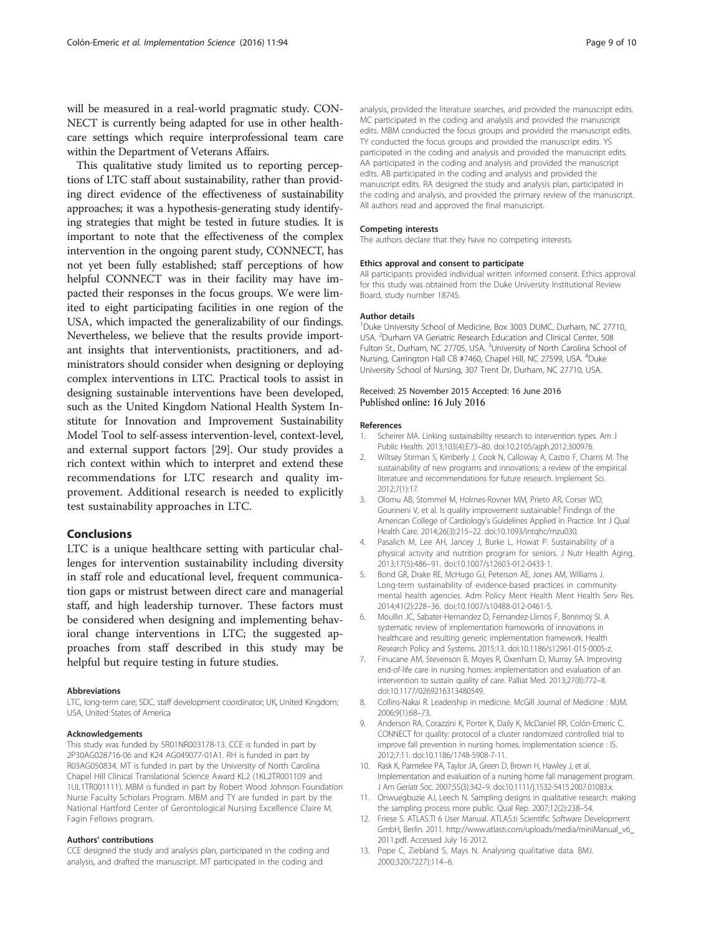<span id="page-8-0"></span>will be measured in a real-world pragmatic study. CON-NECT is currently being adapted for use in other healthcare settings which require interprofessional team care within the Department of Veterans Affairs.

This qualitative study limited us to reporting perceptions of LTC staff about sustainability, rather than providing direct evidence of the effectiveness of sustainability approaches; it was a hypothesis-generating study identifying strategies that might be tested in future studies. It is important to note that the effectiveness of the complex intervention in the ongoing parent study, CONNECT, has not yet been fully established; staff perceptions of how helpful CONNECT was in their facility may have impacted their responses in the focus groups. We were limited to eight participating facilities in one region of the USA, which impacted the generalizability of our findings. Nevertheless, we believe that the results provide important insights that interventionists, practitioners, and administrators should consider when designing or deploying complex interventions in LTC. Practical tools to assist in designing sustainable interventions have been developed, such as the United Kingdom National Health System Institute for Innovation and Improvement Sustainability Model Tool to self-assess intervention-level, context-level, and external support factors [\[29\]](#page-9-0). Our study provides a rich context within which to interpret and extend these recommendations for LTC research and quality improvement. Additional research is needed to explicitly test sustainability approaches in LTC.

# Conclusions

LTC is a unique healthcare setting with particular challenges for intervention sustainability including diversity in staff role and educational level, frequent communication gaps or mistrust between direct care and managerial staff, and high leadership turnover. These factors must be considered when designing and implementing behavioral change interventions in LTC; the suggested approaches from staff described in this study may be helpful but require testing in future studies.

#### Abbreviations

LTC, long-term care; SDC, staff development coordinator; UK, United Kingdom; USA, United States of America

#### Acknowledgements

This study was funded by 5R01NR003178-13. CCE is funded in part by 2P30AG028716-06 and K24 AG049077-01A1. RH is funded in part by R03AG050834. MT is funded in part by the University of North Carolina Chapel Hill Clinical Translational Science Award KL2 (1KL2TR001109 and 1UL1TR001111). MBM is funded in part by Robert Wood Johnson Foundation Nurse Faculty Scholars Program. MBM and TY are funded in part by the National Hartford Center of Gerontological Nursing Excellence Claire M. Fagin Fellows program.

#### Authors' contributions

CCE designed the study and analysis plan, participated in the coding and analysis, and drafted the manuscript. MT participated in the coding and

analysis, provided the literature searches, and provided the manuscript edits. MC participated in the coding and analysis and provided the manuscript edits. MBM conducted the focus groups and provided the manuscript edits. TY conducted the focus groups and provided the manuscript edits. YS participated in the coding and analysis and provided the manuscript edits. AA participated in the coding and analysis and provided the manuscript edits. AB participated in the coding and analysis and provided the manuscript edits. RA designed the study and analysis plan, participated in the coding and analysis, and provided the primary review of the manuscript. All authors read and approved the final manuscript.

#### Competing interests

The authors declare that they have no competing interests.

#### Ethics approval and consent to participate

All participants provided individual written informed consent. Ethics approval for this study was obtained from the Duke University Institutional Review Board, study number 18745.

#### Author details

<sup>1</sup>Duke University School of Medicine, Box 3003 DUMC, Durham, NC 27710 USA. <sup>2</sup>Durham VA Geriatric Research Education and Clinical Center, 508 Fulton St., Durham, NC 27705, USA. <sup>3</sup>University of North Carolina School of Nursing, Carrington Hall CB #7460, Chapel Hill, NC 27599, USA. <sup>4</sup>Duke University School of Nursing, 307 Trent Dr, Durham, NC 27710, USA.

#### Received: 25 November 2015 Accepted: 16 June 2016 Published online: 16 July 2016

#### References

- Scheirer MA. Linking sustainability research to intervention types. Am J Public Health. 2013;103(4):E73–80. doi[:10.2105/ajph.2012.300976](http://dx.doi.org/10.2105/ajph.2012.300976).
- 2. Wiltsey Stirman S, Kimberly J, Cook N, Calloway A, Castro F, Charns M. The sustainability of new programs and innovations: a review of the empirical literature and recommendations for future research. Implement Sci. 2012;7(1):17.
- 3. Olomu AB, Stommel M, Holmes-Rovner MM, Prieto AR, Corser WD, Gourineni V, et al. Is quality improvement sustainable? Findings of the American College of Cardiology's Guidelines Applied in Practice. Int J Qual Health Care. 2014;26(3):215–22. doi:[10.1093/intqhc/mzu030.](http://dx.doi.org/10.1093/intqhc/mzu030)
- 4. Pasalich M, Lee AH, Jancey J, Burke L, Howat P. Sustainability of a physical activity and nutrition program for seniors. J Nutr Health Aging. 2013;17(5):486–91. doi:[10.1007/s12603-012-0433-1](http://dx.doi.org/10.1007/s12603-012-0433-1).
- 5. Bond GR, Drake RE, McHugo GJ, Peterson AE, Jones AM, Williams J. Long-term sustainability of evidence-based practices in community mental health agencies. Adm Policy Ment Health Ment Health Serv Res. 2014;41(2):228–36. doi:[10.1007/s10488-012-0461-5](http://dx.doi.org/10.1007/s10488-012-0461-5).
- 6. Moullin JC, Sabater-Hernandez D, Fernandez-Llimos F, Benrimoj SI. A systematic review of implementation frameworks of innovations in healthcare and resulting generic implementation framework. Health Research Policy and Systems. 2015;13. doi[:10.1186/s12961-015-0005-z.](http://dx.doi.org/10.1186/s12961-015-0005-z)
- 7. Finucane AM, Stevenson B, Moyes R, Oxenham D, Murray SA. Improving end-of-life care in nursing homes: implementation and evaluation of an intervention to sustain quality of care. Palliat Med. 2013;27(8):772–8. doi[:10.1177/0269216313480549.](http://dx.doi.org/10.1177/0269216313480549)
- 8. Collins-Nakai R. Leadership in medicine. McGill Journal of Medicine : MJM. 2006;9(1):68–73.
- 9. Anderson RA, Corazzini K, Porter K, Daily K, McDaniel RR, Colón-Emeric C. CONNECT for quality: protocol of a cluster randomized controlled trial to improve fall prevention in nursing homes. Implementation science : IS. 2012;7:11. doi:[10.1186/1748-5908-7-11.](http://dx.doi.org/10.1186/1748-5908-7-11)
- 10. Rask K, Parmelee PA, Taylor JA, Green D, Brown H, Hawley J, et al. Implementation and evaluation of a nursing home fall management program. J Am Geriatr Soc. 2007;55(3):342–9. doi[:10.1111/j.1532-5415.2007.01083.x](http://dx.doi.org/10.1111/j.1532-5415.2007.01083.x).
- 11. Onwuegbuzie AJ, Leech N. Sampling designs in qualitative research: making the sampling process more public. Qual Rep. 2007;12(2):238–54.
- 12. Friese S. ATLAS.TI 6 User Manual. ATLAS.ti Scientific Software Development GmbH, Berlin. 2011. [http://www.atlasti.com/uploads/media/miniManual\\_v6\\_](http://www.atlasti.com/uploads/media/miniManual_v6_2011.pdf) [2011.pdf](http://www.atlasti.com/uploads/media/miniManual_v6_2011.pdf). Accessed July 16 2012.
- 13. Pope C, Ziebland S, Mays N. Analysing qualitative data. BMJ. 2000;320(7227):114–6.